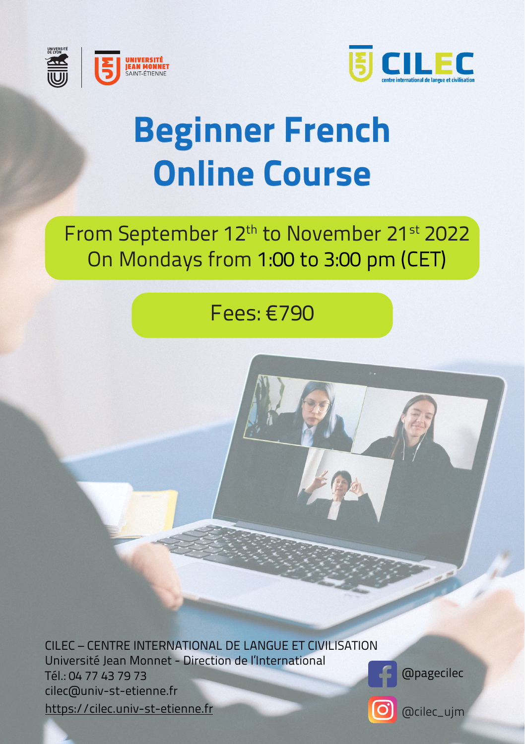



# **Beginner French Online Course**

## From September 12<sup>th</sup> to November 21<sup>st</sup> 2022 On Mondays from 1:00 to 3:00 pm (CET)

### Fees: €790

CILEC – CENTRE INTERNATIONAL DE LANGUE ET CIVILISATION Université Jean Monnet - Direction de l'International Tél.: 04 77 43 79 73 cilec@univ-st-etienne.fr https://cilec.univ-st-etienne.fr



@pagecilec

@cilec\_ujm